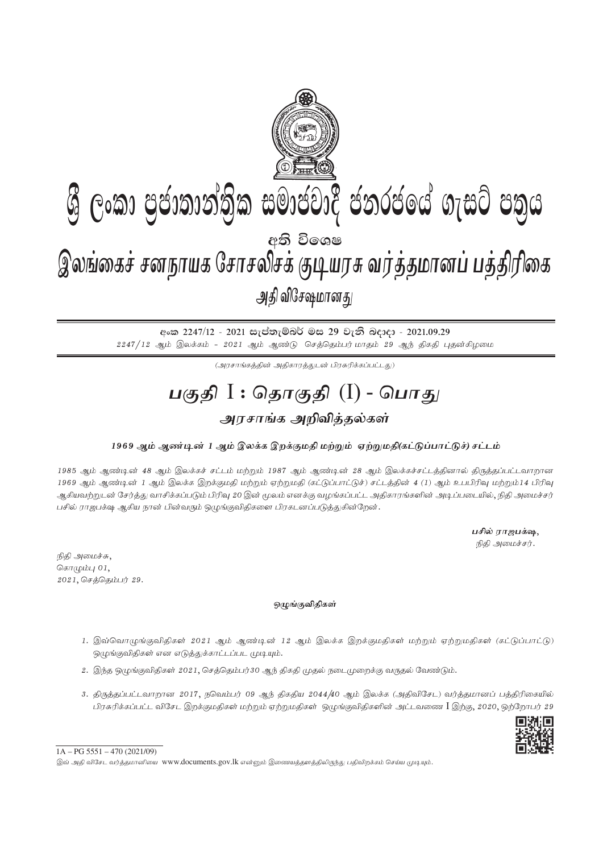

අංක 2247/12 - 2021 සැප්තැම්බර් මස 29 වැනි බදාදා - 2021.09.29  $2247/12$  ஆம் இலக்கம் -  $2021$  ஆம் ஆண்டு செத்தெம்பர் மாதம்  $29$  ஆந் திகதி புதன்கிழமை

 $(\mathcal{A}$ ரசாங்கத்தின் அதிகாரத்துடன் பிரசுரிக்கப்பட்டது)

## **gFjp** I : **njhFjp** (I) - **nghJ** அரசாங்க அறிவி**த்தல்க**ள்

## 1969 ஆம் ஆண்டின் 1 ஆம் இலக்க இறக்குமதி மற்றும் ஏற்றுமதி(கட்டுப்பாட்டுச்) சட்டம்

1985 ஆம் ஆண்டின் 48 ஆம் இலக்கச் சட்டம் மற்றும் 1987 ஆம் ஆண்டின் 28 ஆம் இலக்கச்சட்டத்தினால் திருத்தப்பட்டவாறான 1969 ஆம் ஆண்டின் 1 ஆம் இலக்க இறக்குமதி மற்றும் ஏற்றுமதி (கட்டுப்பாட்டுச்) சட்டத்தின் 4 (1) ஆம் உபபிரிவு மற்றும்14 பிரிவு ஆகியவற்றுடன் சேர்த்து வாசிக்கப்படும் பிரிவு 20 இன் மூலம் எனக்கு வழங்கப்பட்ட அதிகாரங்களின் அடிப்படையில், நிதி அமைச்சர் பசில் ராஜபக்ஷ ஆகிய நான் பின்வரும் ஒழுங்குவிதிகளை பிரகடனப்படுத்துகின்றேன்.

> பசில் ராஜபக்ஷ, நிதி அமைச்சர்.

நிதி அமைச்சு, சொழும்பு $01$ ,  $2021,$  செத்தெம்பர்  $29.$ 

## ஒழுங்குவிதிகள்

- 1. இவ்வொழுங்குவிதிகள் 2021 ஆம் ஆண்டின் 12 ஆம் இலக்க இறக்குமதிகள் மற்றும் ஏற்றுமதிகள் (கட்டுப்பாட்டு) ஒழுங்குவிதிகள் என எடுத்துக்காட்டப்பட முடியும்.
- 2. இந்த ஒழுங்குவிதிகள் 2021, செத்தெம்பர்30 ஆந் திகதி முதல் நடைமுறைக்கு வருதல் வேண்டும்.
- 3. திருத்தப்பட்டவாறான 2017, நவெம்பர் 09 ஆந் திகதிய 2044/40 ஆம் இலக்க (அதிவிசேட) வர்த்தமானப் பத்திரிகையில் பிரசுரிக்கப்பட்ட விசேட இறக்குமதிகள் மற்றும் ஏற்றுமதிகள் ஒழுங்குவிதிகளின் அட்டவணை I இற்கு, 2020, ஒற்றோபர் 29



 $1A - PG$  5551 – 470 (2021/09)

இவ் அதி விசேட வர்த்தமானியை www.documents.gov.lk என்னும் இணையத்தளத்திலிருந்து பதிவிறக்கம் செய்ய முடியும்.